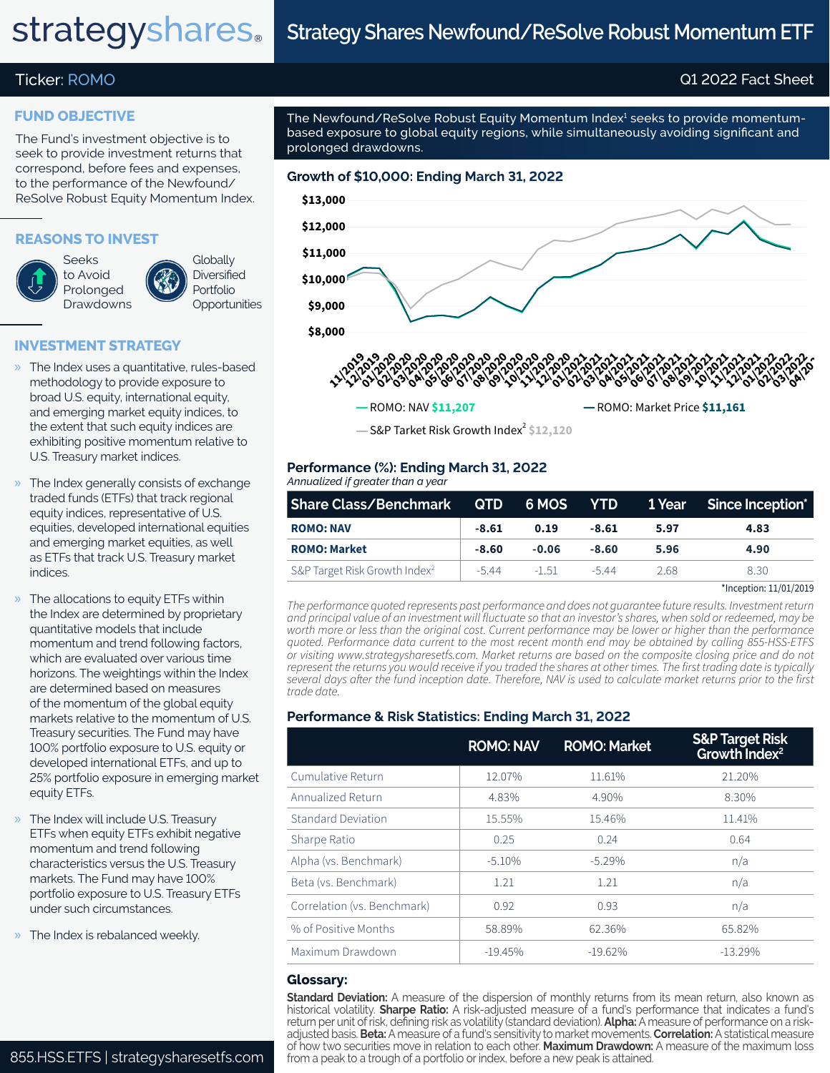# **strategyshares**.

# **Strategy Shares Newfound/ReSolve Robust Momentum ETF**

# Ticker: ROMO Q1 2022 Fact Sheet

## **FUND OBJECTIVE**

The Fund's investment objective is to seek to provide investment returns that correspond, before fees and expenses, to the performance of the Newfound/ ReSolve Robust Equity Momentum Index.

### **REASONS TO INVEST**

Seeks to Avoid Prolonged Drawdowns **Globally Diversified** Portfolio **Opportunities** 

# **INVESTMENT STRATEGY**

- » The Index uses a quantitative, rules-based methodology to provide exposure to broad U.S. equity, international equity, and emerging market equity indices, to the extent that such equity indices are exhibiting positive momentum relative to U.S. Treasury market indices.
- The Index generally consists of exchange traded funds (ETFs) that track regional equity indices, representative of U.S. equities, developed international equities and emerging market equities, as well as ETFs that track U.S. Treasury market indices.
- » The allocations to equity ETFs within the Index are determined by proprietary quantitative models that include momentum and trend following factors, which are evaluated over various time horizons. The weightings within the Index are determined based on measures of the momentum of the global equity markets relative to the momentum of U.S. Treasury securities. The Fund may have 100% portfolio exposure to U.S. equity or developed international ETFs, and up to 25% portfolio exposure in emerging market equity ETFs.
- » The Index will include U.S. Treasury ETFs when equity ETFs exhibit negative momentum and trend following characteristics versus the U.S. Treasury markets. The Fund may have 100% portfolio exposure to U.S. Treasury ETFs under such circumstances.
- » The Index is rebalanced weekly.

The Newfound/ReSolve Robust Equity Momentum Index<sup>1</sup> seeks to provide momentumbased exposure to global equity regions, while simultaneously avoiding significant and prolonged drawdowns.



S&P Tarket Risk Growth Index<sup>2</sup> \$12,120

#### *Annualized if greater than a year* **Performance (%): Ending March 31, 2022**

| Share Class/Benchmark QTD                 |         |         |         |      | 6 MOS YTD 1 Year Since Inception* |
|-------------------------------------------|---------|---------|---------|------|-----------------------------------|
| <b>ROMO: NAV</b>                          | $-8.61$ | 0.19    | $-8.61$ | 5.97 | 4.83                              |
| <b>ROMO: Market</b>                       | $-8.60$ | $-0.06$ | $-8.60$ | 5.96 | 4.90                              |
| S&P Target Risk Growth Index <sup>2</sup> | $-5.44$ | $-1,51$ | $-544$  | 2.68 | 8.30                              |

\*Inception: 11/01/2019

*The performance quoted represents past performance and does not guarantee future results. Investment return and principal value of an investment will fluctuate so that an investor's shares, when sold or redeemed, may be worth more or less than the original cost. Current performance may be lower or higher than the performance quoted. Performance data current to the most recent month end may be obtained by calling 855-HSS-ETFS or visiting www.strategysharesetfs.com. Market returns are based on the composite closing price and do not represent the returns you would receive if you traded the shares at other times. The first trading date is typically several days after the fund inception date. Therefore, NAV is used to calculate market returns prior to the first trade date.*

# **Performance & Risk Statistics: Ending March 31, 2022**

|                             | <b>ROMO: NAV</b> | <b>ROMO: Market</b> | <b>S&amp;P Target Risk</b><br>Growth Index <sup>2</sup> |
|-----------------------------|------------------|---------------------|---------------------------------------------------------|
| Cumulative Return           | 12.07%           | 11.61%              | 21.20%                                                  |
| Annualized Return           | 4.83%            | 4.90%               | 8.30%                                                   |
| Standard Deviation          | 15.55%           | 15.46%              | 11.41%                                                  |
| Sharpe Ratio                | 0.25             | 0.24                | 0.64                                                    |
| Alpha (vs. Benchmark)       | $-5.10%$         | $-5.29%$            | n/a                                                     |
| Beta (vs. Benchmark)        | 1.21             | 1.21                | n/a                                                     |
| Correlation (vs. Benchmark) | 0.92             | 0.93                | n/a                                                     |
| % of Positive Months        | 58.89%           | 62.36%              | 65.82%                                                  |
| Maximum Drawdown            | $-19.45%$        | $-19.62\%$          | $-13.29%$                                               |

#### **Glossary:**

**Standard Deviation:** A measure of the dispersion of monthly returns from its mean return, also known as historical volatility. **Sharpe Ratio:** A risk-adjusted measure of a fund's performance that indicates a fund's return per unit of risk, defining risk as volatility (standard deviation). **Alpha:** A measure of performance on a riskadjusted basis. **Beta:** A measure of a fund's sensitivity to market movements. **Correlation:** A statistical measure of how two securities move in relation to each other. **Maximum Drawdown:** A measure of the maximum loss from a peak to a trough of a portfolio or index, before a new peak is attained.